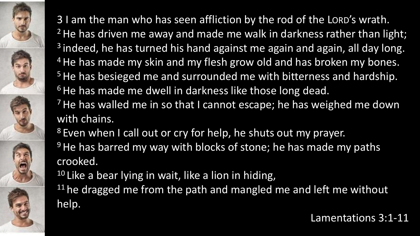

with chains.

<sup>8</sup> Even when I call out or cry for help, he shuts out my prayer.

<sup>9</sup> He has barred my way with blocks of stone; he has made my paths crooked.

 $10$  Like a bear lying in wait, like a lion in hiding,

 $11$  he dragged me from the path and mangled me and left me without help.

Lamentations 3:1-11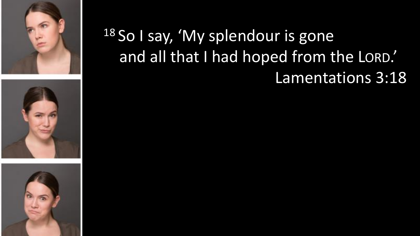





### 18 So I say, 'My splendour is gone and all that I had hoped from the LORD.' Lamentations 3:18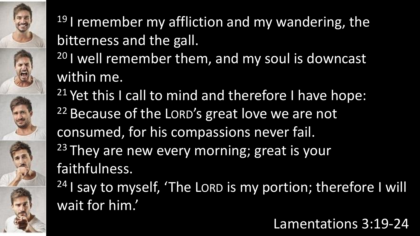## <sup>19</sup> I remember my affliction and my wandering, the bitterness and the gall.

- 20 I well remember them, and my soul is downcast within me.
- <sup>21</sup> Yet this I call to mind and therefore I have hope: <sup>22</sup> Because of the LORD's great love we are not consumed, for his compassions never fail. <sup>23</sup> They are new every morning; great is your faithfulness.

 $24$  I say to myself, 'The LORD is my portion; therefore I will wait for him.'

#### Lamentations 3:19-24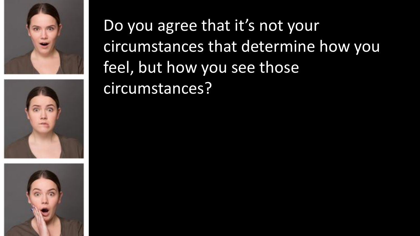





Do you agree that it's not your circumstances that determine how you feel, but how you see those circumstances?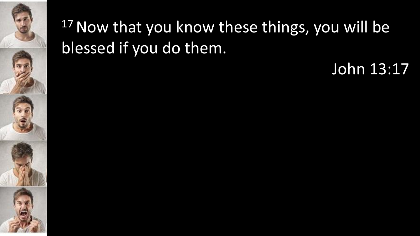

## 17 Now that you know these things, you will be blessed if you do them.

John 13:17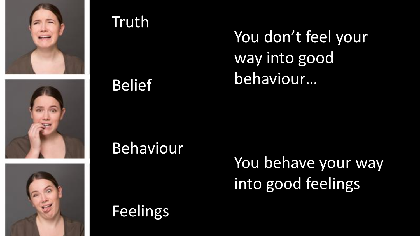





#### Truth

Belief

Behaviour

You don't feel your way into good behaviour…

You behave your way into good feelings

Feelings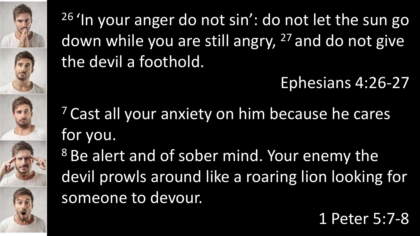<sup>26</sup> 'In your anger do not sin': do not let the sun go down while you are still angry, <sup>27</sup> and do not give the devil a foothold.

Ephesians 4:26-27

<sup>7</sup> Cast all your anxiety on him because he cares for you.

<sup>8</sup> Be alert and of sober mind. Your enemy the devil prowls around like a roaring lion looking for someone to devour.

1 Peter 5:7-8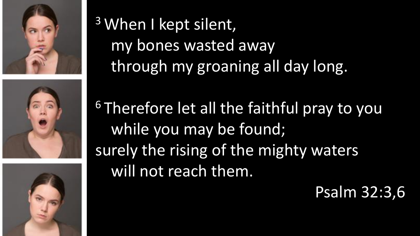





<sup>3</sup> When I kept silent, my bones wasted away through my groaning all day long.

<sup>6</sup> Therefore let all the faithful pray to you while you may be found; surely the rising of the mighty waters will not reach them.

#### Psalm 32:3,6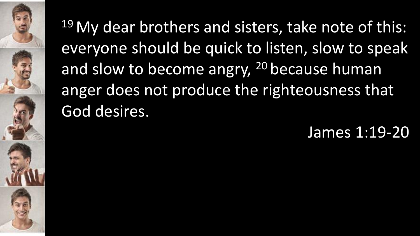

<sup>19</sup> My dear brothers and sisters, take note of this: everyone should be quick to listen, slow to speak and slow to become angry, <sup>20</sup> because human anger does not produce the righteousness that God desires.

James 1:19-20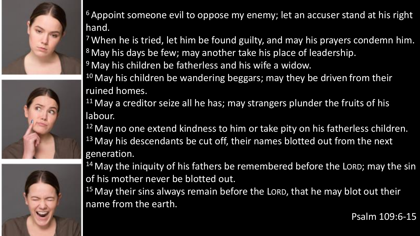





<sup>6</sup> Appoint someone evil to oppose my enemy; let an accuser stand at his right hand.

<sup>7</sup> When he is tried, let him be found guilty, and may his prayers condemn him. <sup>8</sup> May his days be few; may another take his place of leadership.

<sup>9</sup> May his children be fatherless and his wife a widow.

<sup>10</sup> May his children be wandering beggars; may they be driven from their ruined homes.

 $11$  May a creditor seize all he has; may strangers plunder the fruits of his labour.

<sup>12</sup> May no one extend kindness to him or take pity on his fatherless children. <sup>13</sup> May his descendants be cut off, their names blotted out from the next generation.

 $14$  May the iniquity of his fathers be remembered before the LORD; may the sin of his mother never be blotted out.

 $15$  May their sins always remain before the LORD, that he may blot out their name from the earth.

Psalm 109:6-15